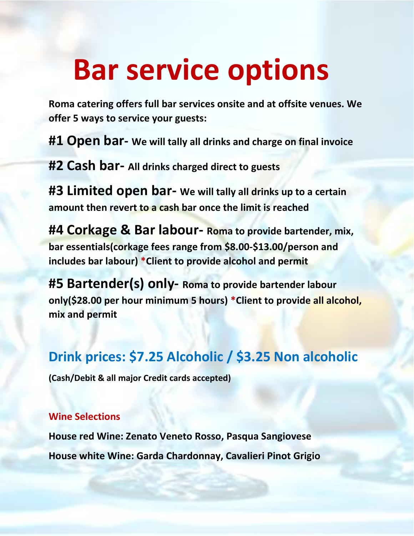# **Bar service options**

**Roma catering offers full bar services onsite and at offsite venues. We offer 5 ways to service your guests:**

**#1 Open bar- We will tally all drinks and charge on final invoice**

**#2 Cash bar- All drinks charged direct to guests**

**#3 Limited open bar- We will tally all drinks up to a certain amount then revert to a cash bar once the limit is reached**

**#4 Corkage & Bar labour- Roma to provide bartender, mix, bar essentials(corkage fees range from \$8.00-\$13.00/person and includes bar labour) \*Client to provide alcohol and permit**

**#5 Bartender(s) only- Roma to provide bartender labour only(\$28.00 per hour minimum 5 hours) \*Client to provide all alcohol, mix and permit**

# **Drink prices: \$7.25 Alcoholic / \$3.25 Non alcoholic**

**(Cash/Debit & all major Credit cards accepted)**

#### **Wine Selections**

**House red Wine: Zenato Veneto Rosso, Pasqua Sangiovese House white Wine: Garda Chardonnay, Cavalieri Pinot Grigio**